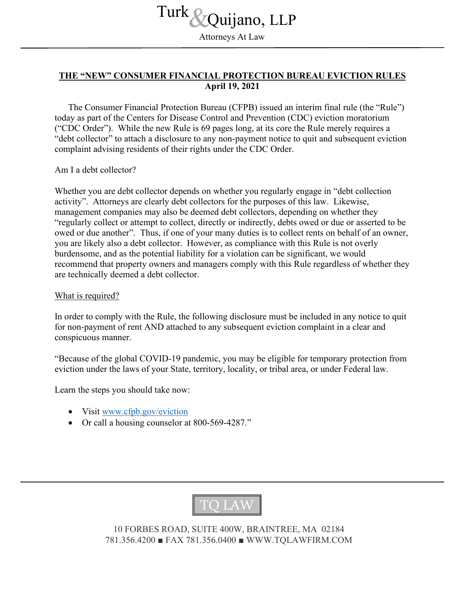Attorneys At Law Turk *S*<br>
Attorneys At Law

## **THE "NEW" CONSUMER FINANCIAL PROTECTION BUREAU EVICTION RULES April 19, 2021**

The Consumer Financial Protection Bureau (CFPB) issued an interim final rule (the "Rule") today as part of the Centers for Disease Control and Prevention (CDC) eviction moratorium ("CDC Order"). While the new Rule is 69 pages long, at its core the Rule merely requires a "debt collector" to attach a disclosure to any non-payment notice to quit and subsequent eviction complaint advising residents of their rights under the CDC Order.

Am I a debt collector?

Whether you are debt collector depends on whether you regularly engage in "debt collection activity". Attorneys are clearly debt collectors for the purposes of this law. Likewise, management companies may also be deemed debt collectors, depending on whether they "regularly collect or attempt to collect, directly or indirectly, debts owed or due or asserted to be owed or due another". Thus, if one of your many duties is to collect rents on behalf of an owner, you are likely also a debt collector. However, as compliance with this Rule is not overly burdensome, and as the potential liability for a violation can be significant, we would recommend that property owners and managers comply with this Rule regardless of whether they are technically deemed a debt collector.

What is required?

In order to comply with the Rule, the following disclosure must be included in any notice to quit for non-payment of rent AND attached to any subsequent eviction complaint in a clear and conspicuous manner.

"Because of the global COVID-19 pandemic, you may be eligible for temporary protection from eviction under the laws of your State, territory, locality, or tribal area, or under Federal law.

Learn the steps you should take now:

- Visit [www.cfpb.gov/eviction](http://www.cfpb.gov/eviction)
- Or call a housing counselor at 800-569-4287."



10 FORBES ROAD, SUITE 400W, BRAINTREE, MA 02184 781.356.4200 ■ FAX 781.356.0400 ■ WWW.TQLAWFIRM.COM